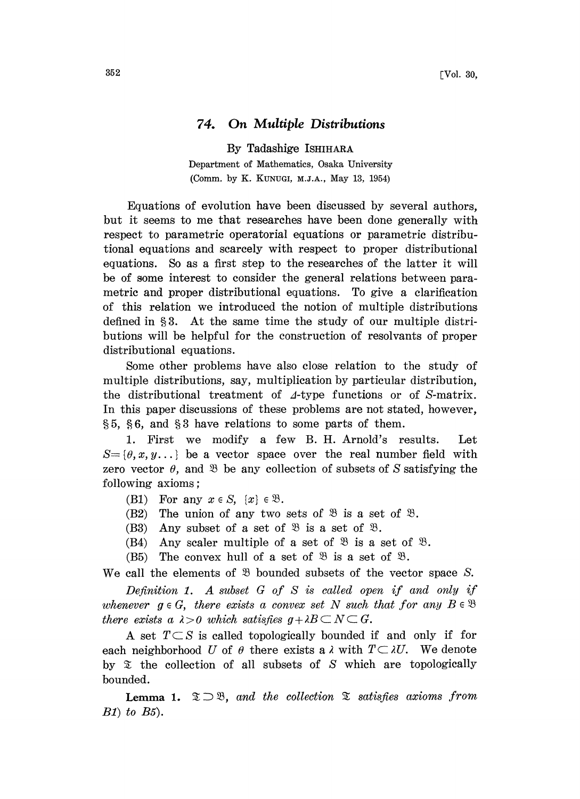## 74. On Multiple Distributions

By Tadashige ISHIHARA Department of Mathematics, Osaka University (Comm. by K. KUNUGI, M.J.A., May 13, 1954)

Equations of evolution have been discussed by several authors, but it seems to me that researches have been done generally with respect to parametric operatorial equations or parametric distributional equations and scarcely with respect to proper distributional equations. So as a first step to the researches of the latter it will be of some interest to consider the general relations between parametric and proper distributional equations. To give a clarification of this relation we introduced the notion of multiple distributions defined in  $\S 3$ . At the same time the study of our multiple distributions will be helpful for the construction of resolvants of proper distributional equations.

Some other problems have also close relation to the study of multiple distributions, say, multiplication by particular distribution, the distributional treatment of  $\Lambda$ -type functions or of S-matrix. In this paper discussions of these problems are not stated, however,  $\S 5, \S 6$ , and  $\S 3$  have relations to some parts of them.

1. First we modify a few B. H. Arnold's results. Let  $S = \{\theta, x, y, \dots\}$  be a vector space over the real number field with zero vector  $\theta$ , and  $\mathfrak B$  be any collection of subsets of S satisfying the following axioms

- (B1) For any  $x \in S$ ,  $\{x\} \in \mathcal{B}$ .<br>(B2) The union of any two
- The union of any two sets of  $\mathcal{B}$  is a set of  $\mathcal{B}$ .
- (B3) Any subset of a set of  $\mathfrak{B}$  is a set of  $\mathfrak{B}$ .
- (B4) Any scaler multiple of a set of  $\mathfrak{B}$  is a set of  $\mathfrak{B}$ .
- (B5) The convex hull of a set of  $\mathfrak{B}$  is a set of  $\mathfrak{B}$ .

We call the elements of  $\mathcal{B}$  bounded subsets of the vector space S.

Definition 1. A subset  $G$  of  $S$  is called open if and only if whenever  $g \in G$ , there exists a convex set N such that for any  $B \in \mathcal{B}$ there exists a  $\lambda > 0$  which satisfies  $g + \lambda B \subset N \subset G$ .

A set  $T\subset S$  is called topologically bounded if and only if for each neighborhood U of  $\theta$  there exists a  $\lambda$  with  $T \subset \lambda U$ . We denote by  $\mathfrak X$  the collection of all subsets of S which are topologically bounded.

**Lemma 1.**  $\mathfrak{D} \supset \mathfrak{B}$ , and the collection  $\mathfrak{D}$  satisfies axioms from  $B1$  to  $B5$ ).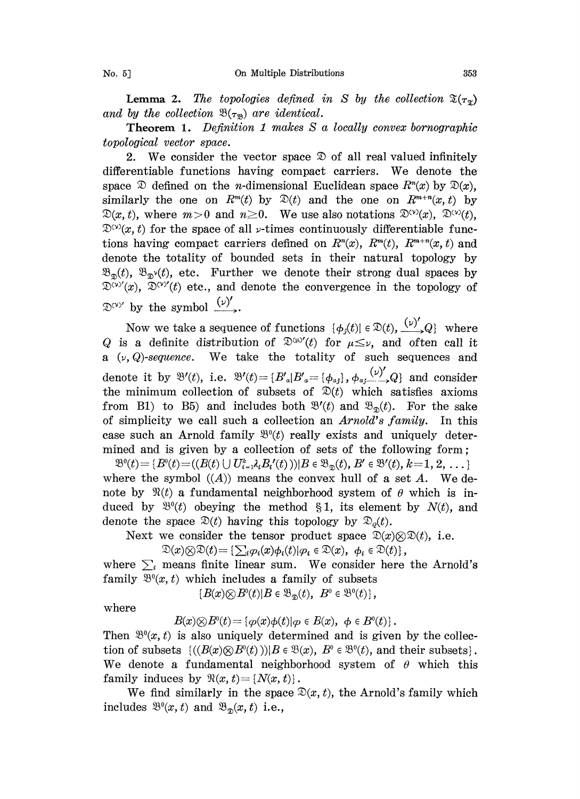**Lemma 2.** The topologies defined in S by the collection  $\mathfrak{T}(\tau_{\mathfrak{T}})$ and by the collection  $\mathfrak{B}(\tau_{\mathfrak{m}})$  are identical.

Theorem 1. Definition <sup>I</sup> makes S a locally convex bornographic topological vector space.

2. We consider the vector space  $\mathcal D$  of all real valued infinitely differentiable functions having compact carriers. We denote the space  $\mathfrak D$  defined on the *n*-dimensional Euclidean space  $R^n(x)$  by  $\mathfrak D(x)$ , similarly the one on  $R^m(t)$  by  $\mathfrak{D}(t)$  and the one on  $R^{m+n}(x,t)$  by  $\mathfrak{D}(x, t)$ , where  $m>0$  and  $n\geq 0$ . We use also notations  $\mathfrak{D}^{(\nu)}(x)$ ,  $\mathfrak{D}^{(\nu)}(t)$ ,  $\mathcal{D}^{(v)}(x, t)$  for the space of all  $\nu$ -times continuously differentiable functions having compact carriers defined on  $R^n(x)$ ,  $R^{m}(t)$ ,  $R^{m+n}(x, t)$  and denote the totality of bounded sets in their natural topology by  $\mathfrak{B}_{\mathfrak{m}}(t)$ ,  $\mathfrak{B}_{\mathfrak{m}}(t)$ , etc. Further we denote their strong dual spaces by  $\mathfrak{D}^{(\nu)}(x)$ ,  $\mathfrak{D}^{(\nu)}(t)$  etc., and denote the convergence in the topology of  $\mathcal{D}^{(\nu)}$  by the symbol  $\frac{(\nu)'}{\nu}$ .

Now we take a sequence of functions  $\{\phi_j(t)| \in \mathcal{D}(t), \frac{(\nu)'}{\nu} \mathcal{Q}\}\$  where Q is a definite distribution of  $\mathbb{D}^{\alpha}$  (t) for  $\mu \leq \nu$ , and often call it a  $(\nu, Q)$ -sequence. We take the totality of such sequences and denote it by  $\mathfrak{B}'(t)$ , i.e.  $\mathfrak{B}'(t)=\{B'_a|B'_a=\{\phi_{aj}\},\phi_{aj}(\psi)'_{j\geq 0}\}\$ and consider the minimum collection of subsets of  $\mathfrak{D}(t)$  which satisfies axioms from B1) to B5) and includes both  $\mathcal{B}'(t)$  and  $\mathcal{B}_{\mathcal{D}}(t)$ . For the sake of simplicity we call such a collection an Arnold's family. In this case such an Arnold family  $\mathfrak{B}^0(t)$  really exists and uniquely determined and is given by a collection of sets of the following form;

 $\mathfrak{B}^0(t) = \{B^0(t) = ((B(t) \cup U_{i=1}^k \lambda_i B_i'(t))) | B \in \mathfrak{B}_{\mathfrak{D}}(t), B' \in \mathfrak{B}'(t), k=1, 2, \dots \}$ where the symbol  $((A))$  means the convex hull of a set A. We denote by  $\mathfrak{R}(t)$  a fundamental neighborhood system of  $\theta$  which is induced by  $\mathfrak{B}^0(t)$  obeying the method §1, its element by  $N(t)$ , and denote the space  $\mathcal{D}(t)$  having this topology by  $\mathcal{D}_{o}(t)$ .

Next we consider the tensor product space  $\mathfrak{D}(x)\otimes \mathfrak{D}(t)$ , i.e.

$$
\mathfrak{D}(x)\otimes\mathfrak{D}(t)=\left\{\sum_i\varphi_i(x)\phi_i(t)|\varphi_i\in\mathfrak{D}(x),\ \phi_i\in\mathfrak{D}(t)\right\},\
$$

where  $\sum_i$  means finite linear sum. We consider here the Arnold's family  $\mathfrak{B}^0(x, t)$  which includes a family of subsets

 ${B(x) \otimes B^0(t)|B \in \mathfrak{B}_{\mathfrak{D}}(t), B^0 \in \mathfrak{B}^0(t)}$ ,

where

 $B(x)\otimes B^0(t) = {\varphi(x)\varphi(t)|\varphi \in B(x), \varphi \in B^0(t)}.$ 

Then  $\mathfrak{B}^0(x, t)$  is also uniquely determined and is given by the collection of subsets  $\{((B(x)\otimes B^0(t)))|B\in \mathfrak{B}(x), B^0\in \mathfrak{B}^0(t), \text{ and their subsets}\}.$ We denote a fundamental neighborhood system of  $\theta$  which this family induces by  $\mathfrak{R}(x, t) = \{N(x, t)\}.$ 

We find similarly in the space  $\mathcal{D}(x, t)$ , the Arnold's family which includes  $\mathfrak{B}^0(x, t)$  and  $\mathfrak{B}_{\mathfrak{D}}(x, t)$  i.e.,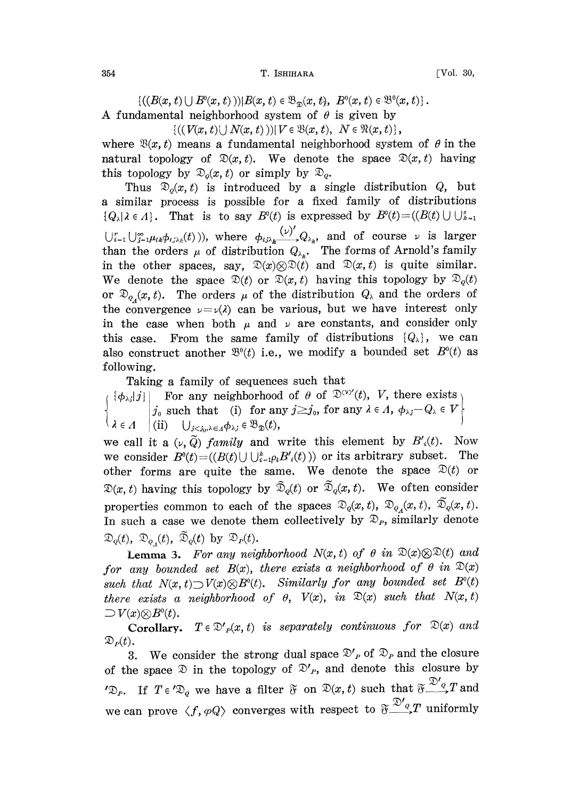354 T. ISHIHARA T. ISHIHARA TOOL. 30,

 $\{((B(x, t) \cup B^{0}(x, t))) | B(x, t) \in \mathfrak{B}_{\mathfrak{D}}(x, t), B^{0}(x, t) \in \mathfrak{B}^{0}(x, t)\}\.$ 

A fundamental neighborhood system of  $\theta$  is given by

 ${((V(x, t) \cup N(x, t))) | V \in \mathfrak{B}(x, t), N \in \mathfrak{R}(x, t)},$ 

where  $\mathfrak{B}(x, t)$  means a fundamental neighborhood system of  $\theta$  in the natural topology of  $\mathcal{D}(x,t)$ . We denote the space  $\mathcal{D}(x,t)$  having this topology by  $\mathcal{D}_{o}(x, t)$  or simply by  $\mathcal{D}_{o}$ .

Thus  $\mathfrak{D}_0(x,t)$  is introduced by a single distribution Q, but a similar process is possible for a fixed family of distributions  $\{Q_{\lambda} | \lambda \in \Lambda\}$ . That is to say  $B^{0}(t)$  is expressed by  $B^{0}(t)=(B(t) \cup \bigcup_{k=1}^{s}$  $\bigcup_{i=1}^r \bigcup_{j=1}^{\infty} \mu_{ik} \phi_{i,j,\lambda_k}(t)$ )), where  $\phi_{i,j}\left(\frac{(\nu)'}{k}\right)_{\lambda_k}$ , and of course  $\nu$  is larger than the orders  $\mu$  of distribution  $Q_{\lambda_k}$ . The forms of Arnold's family in the other spaces, say,  $\mathfrak{D}(x)\otimes \mathfrak{D}(t)$  and  $\mathfrak{D}(x,t)$  is quite similar. We denote the space  $\mathfrak{D}(t)$  or  $\mathfrak{D}(x, t)$  having this topology by  $\mathfrak{D}_{o}(t)$ or  $\mathfrak{D}_{q_{\mathcal{A}}}(x, t)$ . The orders  $\mu$  of the distribution  $Q_{\lambda}$  and the orders of the convergence  $y = y(\lambda)$  can be various, but we have interest only in the case when both  $\mu$  and  $\nu$  are constants, and consider only this case. From the same family of distributions  $\{Q_{\lambda}\}\,$ , we can also construct another  $\mathfrak{B}^0(t)$  i.e., we modify a bounded set  $B^0(t)$  as following.

Taking a family of sequences such that

 $\{\phi_{\lambda,j}|j\}$  For any neighborhood of  $\theta$  of  $\mathcal{D}^{(y)'}(t)$ ,  $V$ , there exists  $j_{0}$  such that (i) for any  $j \geq j_{0}$ , for any  $\lambda \in \Lambda$ ,  $\phi_{\lambda,j} - Q_{\lambda} \in V$  $\in \varLambda \quad \big|\,(\mathrm{ii}) \quad \bigcup_{j < j_0, \lambda \in \varLambda} \phi_{\lambda j} \in \mathfrak{B}_{\mathfrak{D}}(t),$ 

we call it a  $(\nu, \tilde{Q})$  family and write this element by  $B'_{i}(t)$ . Now we consider  $B^0(t) = ((B(t) \cup \bigcup_{i=1}^k \rho_i B_i'(t)))$  or its arbitrary subset. The other forms are quite the same. We denote the space  $\mathfrak{D}(t)$  or  $\mathfrak{D}(x, t)$  having this topology by  $\tilde{\mathfrak{D}}_o(t)$  or  $\tilde{\mathfrak{D}}_o(x, t)$ . We often consider properties common to each of the spaces  $\mathcal{D}_q(x, t)$ ,  $\mathcal{D}_{q}(x, t)$ ,  $\mathcal{D}_q(x, t)$ . In such a case we denote them collectively by  $\mathfrak{D}_P$ , similarly denote  $\mathfrak{D}_q(t)$ ,  $\mathfrak{D}_{q_1}(t)$ ,  $\mathfrak{D}_q(t)$  by  $\mathfrak{D}_P(t)$ .

**Lemma 3.** For any neighborhood  $N(x, t)$  of  $\theta$  in  $\mathfrak{D}(x)\otimes\mathfrak{D}(t)$  and for any bounded set  $B(x)$ , there exists a neighborhood of  $\theta$  in  $\mathcal{D}(x)$ such that  $N(x, t) \supset V(x) \otimes B^0(t)$ . Similarly for any bounded set  $B^0(t)$ there exists a neighborhood of  $\theta$ ,  $V(x)$ , in  $\mathfrak{D}(x)$  such that  $N(x, t)$  $\Box V(x)\otimes B^0(t)$ .

Corollary.  $T \in \mathcal{D}'_P(x, t)$  is separately continuous for  $\mathcal{D}(x)$  and  $\mathfrak{D}_P(t)$ .

3. We consider the strong dual space  $\mathcal{D}'_P$  of  $\mathcal{D}_P$  and the closure of the space  $\mathfrak D$  in the topology of  $\mathfrak D'_P$ , and denote this closure by ' $\mathfrak{D}_P$ . If  $T \in \mathfrak{D}_Q$  we have a filter  $\mathfrak{F}$  on  $\mathfrak{D}(x, t)$  such that  $\mathfrak{F} \frac{\mathfrak{D}'_Q}{\mathfrak{D}} T$  and we can prove  $\langle f, \varphi Q \rangle$  converges with respect to  $\mathfrak{F}^{\mathcal{D}'}_{\bullet,2}T$  uniformly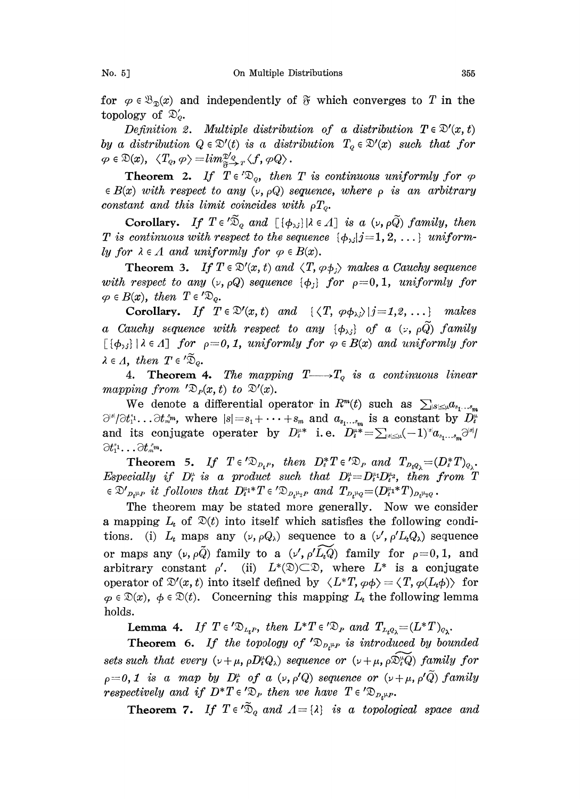for  $\varphi \in \mathfrak{B}_{\mathfrak{D}}(x)$  and independently of  $\mathfrak{F}$  which converges to T in the For  $\varphi \in \mathfrak{D}_{\mathfrak{D}}(x)$  is<br>topology of  $\mathfrak{D}_q'$ .

Definition 2. Multiple distribution of a distribution  $T \in \mathcal{D}'(x, t)$ by a distribution  $Q \in \mathcal{D}'(t)$  is a distribution  $T_q \in \mathcal{D}'(x)$  such that for  $\varphi \in \mathfrak{D}(x), \langle T_q, \varphi \rangle = \lim_{\mathfrak{F} \to r} \langle f, \varphi Q \rangle.$ 

**Theorem 2.** If  $T \in \mathcal{D}_o$ , then T is continuous uniformly for  $\varphi$  $\in B(x)$  with respect to any  $(\nu, \rho Q)$  sequence, where  $\rho$  is an arbitrary constant and this limit coincides with  $\rho T_o$ .

Corollary. If  $T \in \tilde{D}_q$  and  $[(\phi_{\lambda i}) | \lambda \in \Lambda]$  is a  $(\nu, \rho \tilde{Q})$  family, then Colonary:  $I_j \perp \in \mathbb{Z}_q$  what  $\lfloor (\varphi_{\lambda j}) \rfloor \sim 2I_j$  is a  $(\varphi_{\lambda j}|j=1, 2, \ldots)$  uniform-<br>T is continuous with respect to the sequence  $\{\phi_{\lambda j}|j=1, 2, \ldots\}$  uniformly for  $\lambda \in \Lambda$  and uniformly for  $\varphi \in B(x)$ .

**Theorem 3.** If  $T \in \mathcal{D}'(x, t)$  and  $\langle T, \varphi, \varphi \rangle$  makes a Cauchy sequence with respect to any  $(v, \rho Q)$  sequence  $\{\phi_j\}$  for  $\rho = 0, 1$ , uniformly for  $\varphi \in B(x)$ , then  $T \in \{x\}_{Q}$ .  $\in B(x)$ , then T

Corollary. If  $T \in \mathcal{D}'(x,t)$  and  $\{\langle T, \varphi \phi_{\lambda,i} \rangle | j=1,2,\ldots\}$  makes a Cauchy sequence with respect to any  $\{\phi_{\lambda j}\}\$  of a  $(z, \rho\tilde{Q})$  family  $\lceil \{\phi_{\lambda,i}\}\rceil$  i e A] for  $\rho=0, 1$ , uniformly for  $\varphi \in B(x)$  and uniformly for  $\lambda \in \Lambda$ , then  $T \in \tilde{\mathfrak{D}}_Q$ .

4. Theorem 4. The mapping  $T \longrightarrow T_Q$  is a continuous linear mapping from  $\mathcal{D}_P(x, t)$  to  $\mathcal{D}'(x)$ .

We denote a differential operator in  $R^m(t)$  such as  $\sum_{|s| \leq \mu} a_{s_1 \ldots s_m}$  $\partial^{s}/\partial t_1^{s}. \dots \partial t_m^{s_m}$ , where  $|s|=s_1+\dots+s_m$  and  $a_{s_1\dots s_m}$  is a constant by  $D_t^{\omega}$ and its conjugate operater by  $D_t^{\mu*}$  i.e.  $D_t^{\mu*} = \sum_{s \le \mu} (-1)^s a_{s_1...s_m} \partial^{s_1}$  $\partial t_1^{s_1}\dots\partial t_m^{s_m}.$ 

**Theorem 5.** If  $T \in \{D_{D_t P}, \text{ then } D_t^* T \in \{D_P, \text{ and } T_{D_t Q_{\lambda}} = (D_t^* T)_{Q_{\lambda}}\}$ <br>cially if  $D_t^{\mu}$  is a product such that  $D_t^{\mu} = D_t^{\mu_1} D_t^{\mu_2}$ , then from T Especially if  $D_i^*$  is a product such that  $D_i^* = D_i^* D_i^*$ , then from  $T \in \mathcal{D}_{D_i^*\mu}$  it follows that  $D_i^{\mu_1*}T \in \{D_{D_i^*\mu_2}P}$  and  $T_{D_i^*\mu_2} = (D_i^{\mu_1*}T)_{D_i^*\mu_2}$ .<br>The theorem may be stated more generally. Now w

The theorem may be stated more generally. Now we consider a mapping  $L_t$  of  $\mathfrak{D}(t)$  into itself which satisfies the following conditions. (i)  $L_t$  maps any  $(\nu, \rho Q_\lambda)$  sequence to a  $(\nu', \rho' L_t Q_\lambda)$  sequence or maps any  $(\nu, \rho \tilde{Q})$  family to a  $(\nu', \rho' \tilde{L_{\nu}Q})$  family for  $\rho=0, 1$ , and arbitrary constant  $\rho'$ . (ii)  $L^*(\mathfrak{D}) \subset \mathfrak{D}$ , where  $L^*$  is a conjugate<br>operator of  $\mathfrak{D}'(x,t)$  into itself defined by  $\langle L^*T, \varphi \phi \rangle = \langle T, \varphi(L_t \phi) \rangle$  for  $\varphi \in \mathcal{D}(x)$ ,  $\varphi \in \mathcal{D}(t)$ . Concerning this mapping  $L_t$  the following lemma holds.  $\mathcal{D}(x)$ ,  $\phi \in \mathcal{D}(t)$ . Concerning this mapping  $L_t$  the following lemma<br>
S.<br> **Lemma 4.** If  $T \in \mathcal{D}_{L_t}$ , then  $L^*T \in \mathcal{D}_P$  and  $T_{L_tQ_\lambda} = (L^*T)_{Q_\lambda}$ .<br> **Theorem 6.** If the topology of  $\mathcal{D}_{D_t^{\mu}P}$  is introdu

**Lemma 4.** If  $T \in \mathcal{D}_{L,P}$ , then  $L^*T \in \mathcal{D}_P$  and  $T_{L,Q} = (L^*T)_{Q_2}$ .

sets such that every  $(\nu+\mu, \rho D_t^*Q_\lambda)$  sequence or  $(\nu+\mu, \rho\tilde{\mathfrak{D}}_t^*\tilde{Q})$  family for  $p=0, 1$  is a map by  $D_t^{\omega}$  of a  $(\nu, \rho'Q)$  sequence or  $(\nu + \mu, \rho'Q)$  family  $p=0, 1$  is a map of  $D_t$  of  $\alpha$  ( $p, p, q$ ) sequence of ( $p$ <br>respectively and if  $D^*T \in \mathcal{D}_p$  then we have  $T \in \mathcal{D}_{D_t \mu, p}$ .

ectively and if  $D^*T \in \mathcal{D}_P$  then we have  $T \in \mathcal{D}_{D_t\mu P}$ .<br> **Theorem 7.** If  $T \in \mathcal{D}_q$  and  $\Lambda = \{\lambda\}$  is a topological space and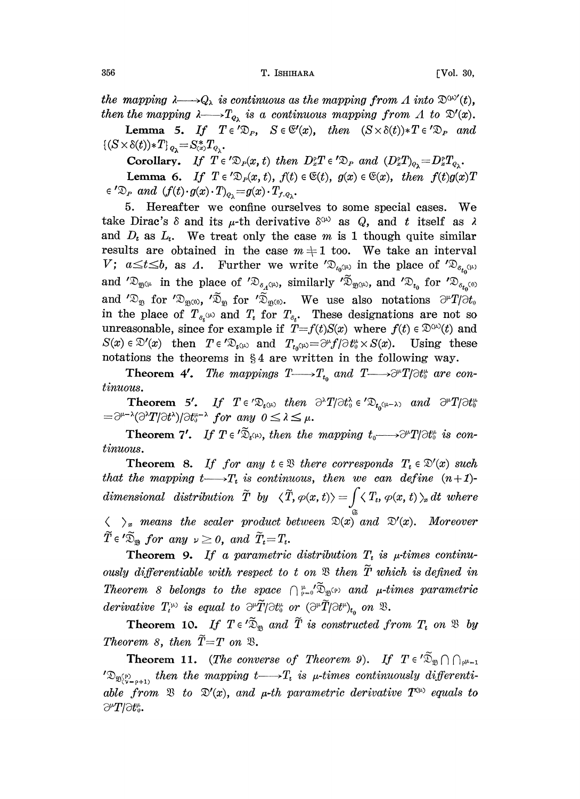the mapping  $\lambda \longrightarrow Q_{\lambda}$  is continuous as the mapping from A into  $\mathfrak{D}^{\mu\nu'}(t)$ , then the mapping  $\lambda \longrightarrow T_{\varrho_{\lambda}}$  is a continuous mapping from  $\Lambda$  to  $\mathfrak{D}'(x)$ .

**Lemma 5.** If  $T \in \mathcal{D}_P$ ,  $S \in \mathcal{C}(x)$ , then  $(S \times \delta(t)) * T \in \mathcal{D}_P$  and  $(\delta(t)) * T$ ,  $Q_{\lambda} = S_{(x)}^* T_{Q_{\lambda}}$ .  $\{(S \times \delta(t)) * T\}_{Q_{\lambda}} = S_{(x)}^{*} T_{Q_{\lambda}}.$ 

Corollary. If  $T \in \mathcal{L}(x, t)$  then  $D_x^{\circ}T \in \mathcal{L}(x, t)$  and  $(D_x^{\circ}T)_{\varphi_{\lambda}} = D_x^{\circ}T_{\varphi_{\lambda}}$ .

Corollary. If  $T \in \mathcal{D}_P(x, t)$  then  $D_x^{\circ}T \in \mathcal{D}_P$  and  $(D_x^{\circ}T)_{\rho_{\lambda}} = D_x^{\circ}T_{\rho_{\lambda}}$ .<br>Lemma 6. If  $T \in \mathcal{D}_P(x, t)$ ,  $f(t) \in \mathfrak{E}(t)$ ,  $g(x) \in \mathfrak{E}(x)$ , then  $f(t)g(x)T$ 

 ${}^{\prime}\mathfrak{D}_{P}$  and  $(f(t)\cdot g(x)\cdot T)_{\varrho_{\lambda}}=g(x)\cdot T_{f.\varrho_{\lambda}}.$ <br>5. Hereafter we confine ourse 5. Hereafter we confine ourselves to some special cases. We take Dirac's  $\delta$  and its  $\mu$ -th derivative  $\delta^{\varphi}$  as Q, and t itself as  $\lambda$ and  $D_t$  as  $L_t$ . We treat only the case m is 1 though quite similar results are obtained in the case  $m + 1$  too. We take an interval V;  $a \le t \le b$ , as A. Further we write  $\mathfrak{D}_{t_0(\mu)}$  in the place of  $\mathfrak{D}_{s_{t_0}(\mu)}$ and  $\mathscr{D}_{\mathfrak{B}^{(\mu)}}$  in the place of  $\mathscr{D}_{\delta_{\mathcal{A}}^{(\mu)}}$ , similarly  $\mathscr{D}_{\mathfrak{B}^{(\mu)}}$ , and  $\mathscr{D}_{t_0}$  for  $\mathscr{D}_{\delta_{t_0}(0)}$ and ' $\mathfrak{D}_{\mathfrak{B}}$  for ' $\mathfrak{D}_{\mathfrak{B}^{(0)}}$ , ' $\mathfrak{D}_{\mathfrak{B}}$  for ' $\mathfrak{D}_{\mathfrak{B}^{(0)}}$ . We use also notations  $\partial^{\mu}T/\partial t_{0}$ <br>in the place of  $T_{s_i}$ <sup>(*u*)</sup> and  $T_i$  for  $T_{s_i}$ . These designations are not so and  $\mathfrak{D}_{\mathfrak{B}}$  for  $\mathfrak{D}_{\mathfrak{B}(\mathfrak{O})}$ ,  $\mathfrak{D}_{\mathfrak{B}}$  for  $\mathfrak{D}_{\mathfrak{B}(\mathfrak{O})}$ . We use also notations  $\partial^{\mu}T/\partial t_{\mathfrak{0}}$ unreasonable, since for example if  $T=f(t)S(x)$  where  $f(t) \in \mathbb{D}^{(\mu)}(t)$  and  $S(x) \in \mathcal{D}'(x)$  then  $T \in \mathcal{D}_{t^{(\mu)}}$  and  $T_{t_0(\mu)} = \partial^{\mu} f/\partial t_0^{\mu} \times S(x)$ . Using these notations the theorems in  $\S 4$  are written in the following way.

**Theorem 4'.** The mappings  $T \rightarrow T_{t_0}$  and  $T \rightarrow T/\partial t_0^*$  are continuous.

**Theorem 5'.** If  $T \in \mathcal{D}_{t^{(\mu)}}$  then  $\partial^{\lambda}T/\partial t_{0}^{\lambda} \in \mathcal{D}_{t_{\alpha}(\mu-\lambda)}$  and  $\partial^{\mu}T/\partial t_{0}^{\mu}$  $=\partial^{\mu-\lambda}(\partial^{\lambda}T/\partial t^{\lambda})/\partial t^{\mu-\lambda}$  for any  $0 \leq \lambda \leq \mu$ .

 $\sigma^{-\lambda}(\partial^{\lambda}T/\partial t^{\lambda})/\partial t^{\mu-\lambda}$  for any  $0 \leq \lambda \leq \mu$ .<br>Theorem 7'. If  $T \in \tilde{\mathfrak{D}}_{t}(\mu)$ , then the mapping  $t_0 \longrightarrow \partial^{\mu}T/\partial t_0^{\mu}$  is continuous.

**Theorem 8.** If for any  $t \in \mathbb{R}$  there corresponds  $T_t \in \mathbb{D}'(x)$  such that the mapping  $t \longrightarrow T_t$  is continuous, then we can define  $(n+1)$  $dimensional \ \ \ distribution \ \ \widetilde{T} \ \ by \ \ \ \langle \widetilde{T}, \varphi(x,t) \rangle = \int \langle \ T_t, \varphi(x,t) \ \rangle_x \ dt \ \ where$  $\langle \rangle_{x}$  means the scaler product between  $\mathfrak{D}(x)$  and  $\mathfrak{D}'(x)$ . Moreover  $\widetilde{T} \in {}' \widetilde{\mathfrak{D}}_{\mathfrak{B}}$  for any  $\nu \geq 0$ , and  $\widetilde{T}_t = T_t$ .

**Theorem 9.** If a parametric distribution  $T_t$  is  $\mu$ -times continuously differentiable with respect to t on  $\mathfrak B$  then  $\widetilde T$  which is defined in Theorem 8 belongs to the space  $\bigcap_{p=0}^{\mu} \tilde{\mathfrak{D}}_{\mathfrak{B}^{(p)}}$  and  $\mu$ -times parametric derivative  $T_i^{\mu}$  is equal to  $\partial^{\mu} \tilde{T}/\partial t^{\mu}$  or  $(\partial^{\mu} \tilde{T}/\partial t^{\nu})_{t_{\alpha}}$  on  $\mathfrak{B}$ .

**Theorem 10.** If  $T \in \tilde{\mathfrak{D}}_m$  and  $\tilde{T}$  is constructed from  $T_t$  on  $\mathfrak{B}$  by Theorem 8, then  $\tilde{T}=T$  on  $\mathfrak{B}$ .

**Theorem 11.** (The converse of Theorem 9). If  $T \in \tilde{\mathfrak{D}}_{\mathfrak{D}} \cap \mathfrak{D}_{\rho^{\mu-1}}$ **Theorem 11.** (The converse of Theorem 9). If  $T \in \mathcal{L}_{\mathfrak{D}} \cap \mathcal{L}_{p+1}$ <br>  $\mathfrak{D}(\mathcal{L}_{p+p+1})$  then the mapping  $t \longrightarrow T_t$  is  $\mu$ -times continuously differentiable from  $\mathfrak{B}$  to  $\mathfrak{D}'(x)$ , and  $\mu$ -th parametric derivative  $T^{\mu}$  equals to  $\partial^{\mu}T/\partial t_{0}^{\mu}$ .